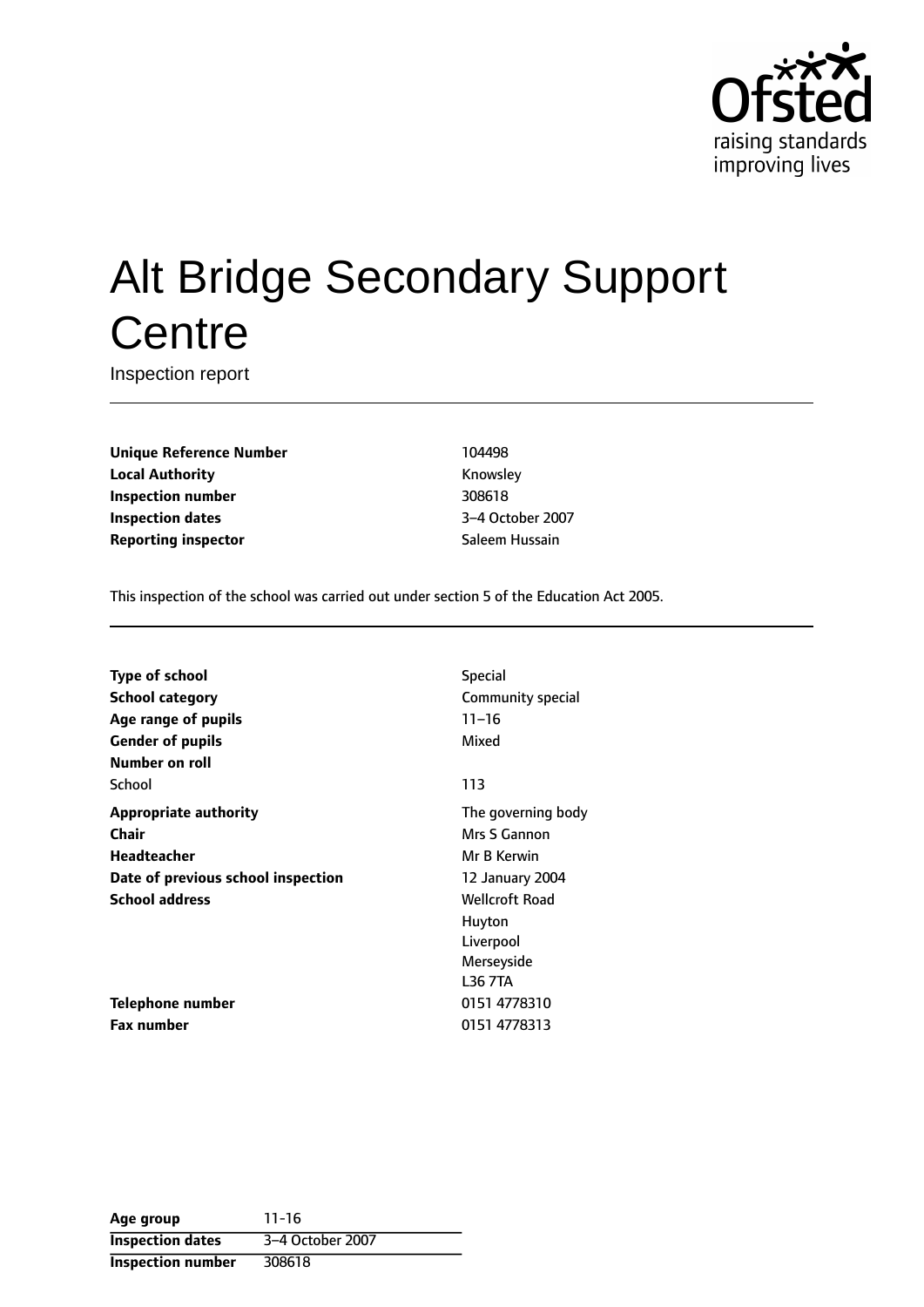

# Alt Bridge Secondary Support **Centre**

Inspection report

**Unique Reference Number** 104498 **Local Authority Knowsley Inspection number** 308618 **Inspection dates** 3-4 October 2007 **Reporting inspector** Saleem Hussain

This inspection of the school was carried out under section 5 of the Education Act 2005.

| <b>Type of school</b>              | <b>Special</b>        |
|------------------------------------|-----------------------|
| <b>School category</b>             | Community special     |
| Age range of pupils                | $11 - 16$             |
| <b>Gender of pupils</b>            | Mixed                 |
| <b>Number on roll</b>              |                       |
| School                             | 113                   |
| <b>Appropriate authority</b>       | The governing body    |
| Chair                              | Mrs S Gannon          |
| <b>Headteacher</b>                 | Mr B Kerwin           |
| Date of previous school inspection | 12 January 2004       |
| <b>School address</b>              | <b>Wellcroft Road</b> |
|                                    | Huyton                |
|                                    | Liverpool             |
|                                    | Merseyside            |
|                                    | L36 7TA               |
| Telephone number                   | 0151 4778310          |
| <b>Fax number</b>                  | 0151 4778313          |

**Age group** 11-16 **Inspection dates** 3-4 October 2007 **Inspection number** 308618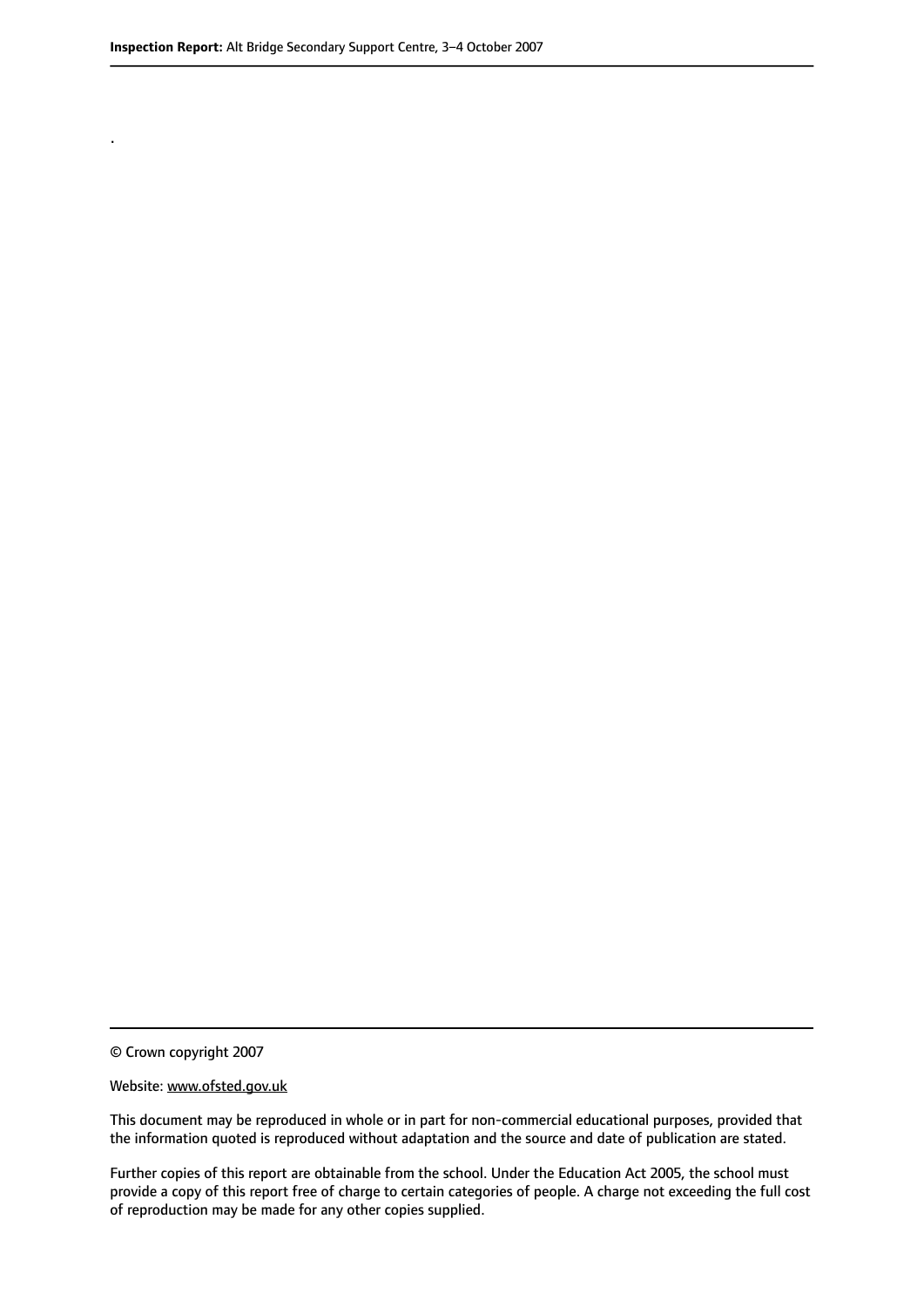.

© Crown copyright 2007

#### Website: www.ofsted.gov.uk

This document may be reproduced in whole or in part for non-commercial educational purposes, provided that the information quoted is reproduced without adaptation and the source and date of publication are stated.

Further copies of this report are obtainable from the school. Under the Education Act 2005, the school must provide a copy of this report free of charge to certain categories of people. A charge not exceeding the full cost of reproduction may be made for any other copies supplied.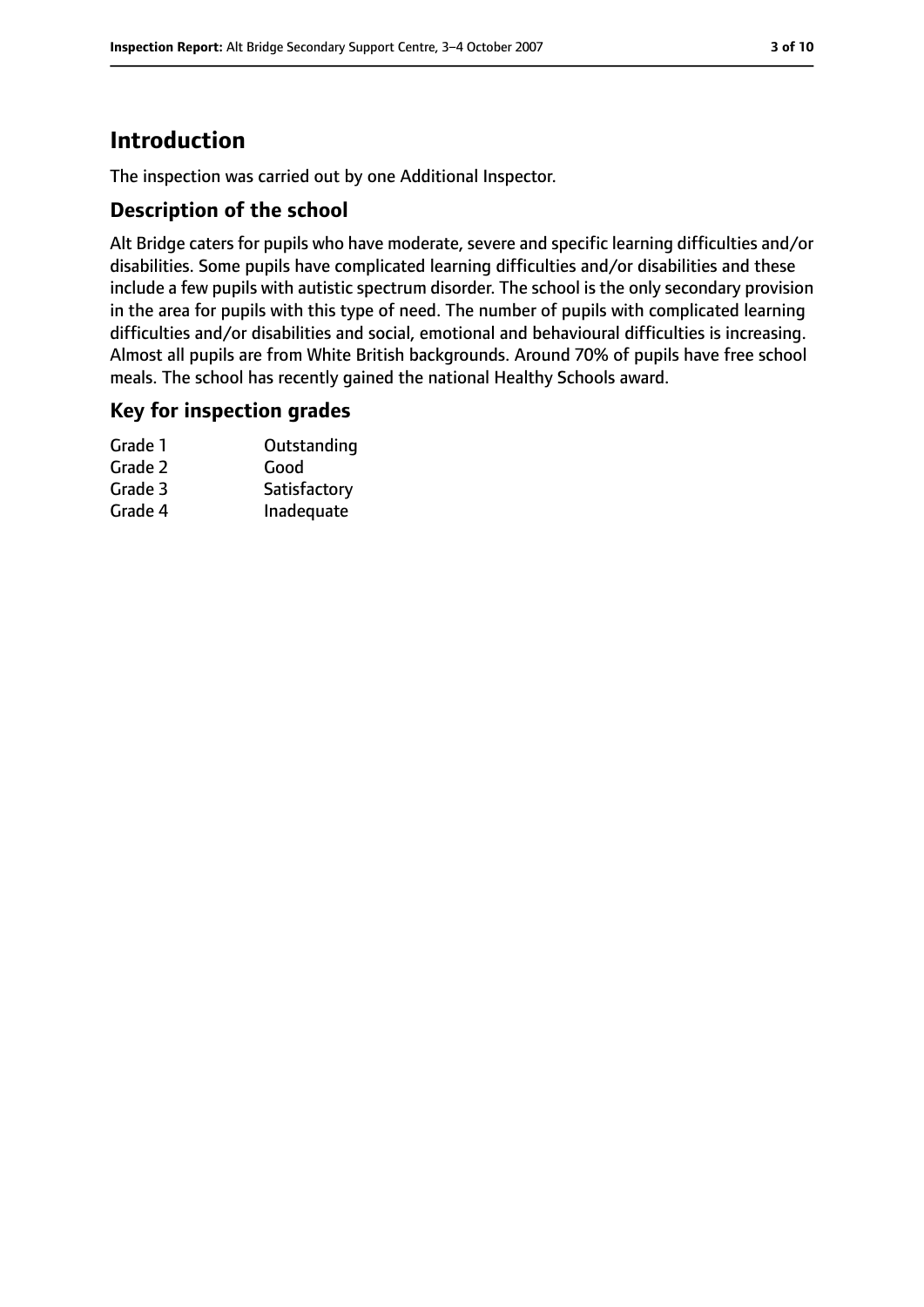# **Introduction**

The inspection was carried out by one Additional Inspector.

## **Description of the school**

Alt Bridge caters for pupils who have moderate, severe and specific learning difficulties and/or disabilities. Some pupils have complicated learning difficulties and/or disabilities and these include a few pupils with autistic spectrum disorder. The school is the only secondary provision in the area for pupils with this type of need. The number of pupils with complicated learning difficulties and/or disabilities and social, emotional and behavioural difficulties is increasing. Almost all pupils are from White British backgrounds. Around 70% of pupils have free school meals. The school has recently gained the national Healthy Schools award.

## **Key for inspection grades**

| Outstanding  |
|--------------|
| Good         |
| Satisfactory |
| Inadequate   |
|              |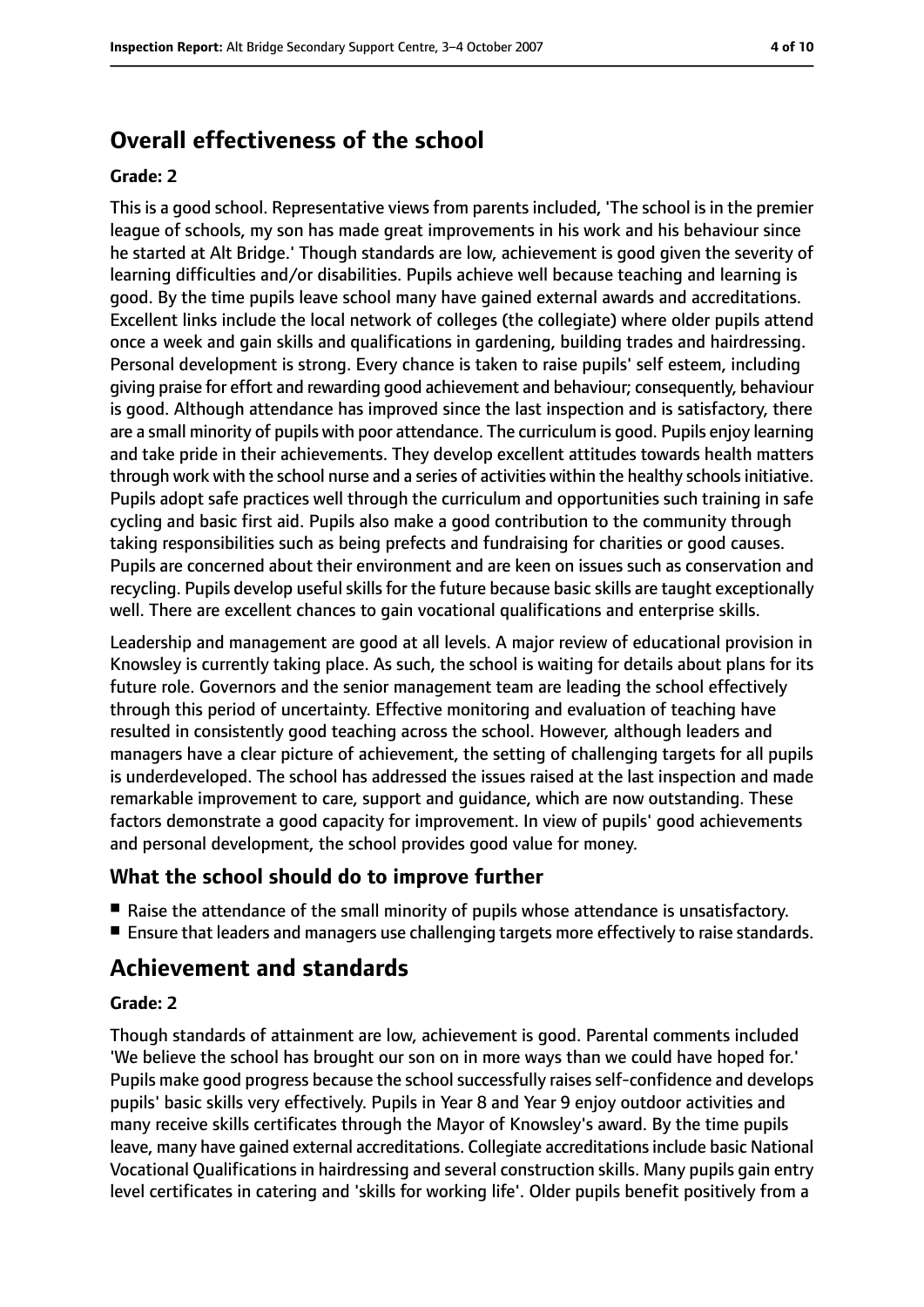# **Overall effectiveness of the school**

#### **Grade: 2**

This is a good school. Representative views from parents included, 'The school is in the premier league of schools, my son has made great improvements in his work and his behaviour since he started at Alt Bridge.' Though standards are low, achievement is good given the severity of learning difficulties and/or disabilities. Pupils achieve well because teaching and learning is good. By the time pupils leave school many have gained external awards and accreditations. Excellent links include the local network of colleges (the collegiate) where older pupils attend once a week and gain skills and qualifications in gardening, building trades and hairdressing. Personal development is strong. Every chance is taken to raise pupils' self esteem, including giving praise for effort and rewarding good achievement and behaviour; consequently, behaviour is good. Although attendance has improved since the last inspection and is satisfactory, there are a small minority of pupils with poor attendance. The curriculum is good. Pupils enjoy learning and take pride in their achievements. They develop excellent attitudes towards health matters through work with the school nurse and a series of activities within the healthy schools initiative. Pupils adopt safe practices well through the curriculum and opportunities such training in safe cycling and basic first aid. Pupils also make a good contribution to the community through taking responsibilities such as being prefects and fundraising for charities or good causes. Pupils are concerned about their environment and are keen on issues such as conservation and recycling. Pupils develop useful skills for the future because basic skills are taught exceptionally well. There are excellent chances to gain vocational qualifications and enterprise skills.

Leadership and management are good at all levels. A major review of educational provision in Knowsley is currently taking place. As such, the school is waiting for details about plans for its future role. Governors and the senior management team are leading the school effectively through this period of uncertainty. Effective monitoring and evaluation of teaching have resulted in consistently good teaching across the school. However, although leaders and managers have a clear picture of achievement, the setting of challenging targets for all pupils is underdeveloped. The school has addressed the issues raised at the last inspection and made remarkable improvement to care, support and guidance, which are now outstanding. These factors demonstrate a good capacity for improvement. In view of pupils' good achievements and personal development, the school provides good value for money.

## **What the school should do to improve further**

- Raise the attendance of the small minority of pupils whose attendance is unsatisfactory.
- Ensure that leaders and managers use challenging targets more effectively to raise standards.

# **Achievement and standards**

#### **Grade: 2**

Though standards of attainment are low, achievement is good. Parental comments included 'We believe the school has brought our son on in more ways than we could have hoped for.' Pupils make good progress because the school successfully raises self-confidence and develops pupils' basic skills very effectively. Pupils in Year 8 and Year 9 enjoy outdoor activities and many receive skills certificates through the Mayor of Knowsley's award. By the time pupils leave, many have gained external accreditations. Collegiate accreditations include basic National Vocational Qualifications in hairdressing and several construction skills. Many pupils gain entry level certificates in catering and 'skills for working life'. Older pupils benefit positively from a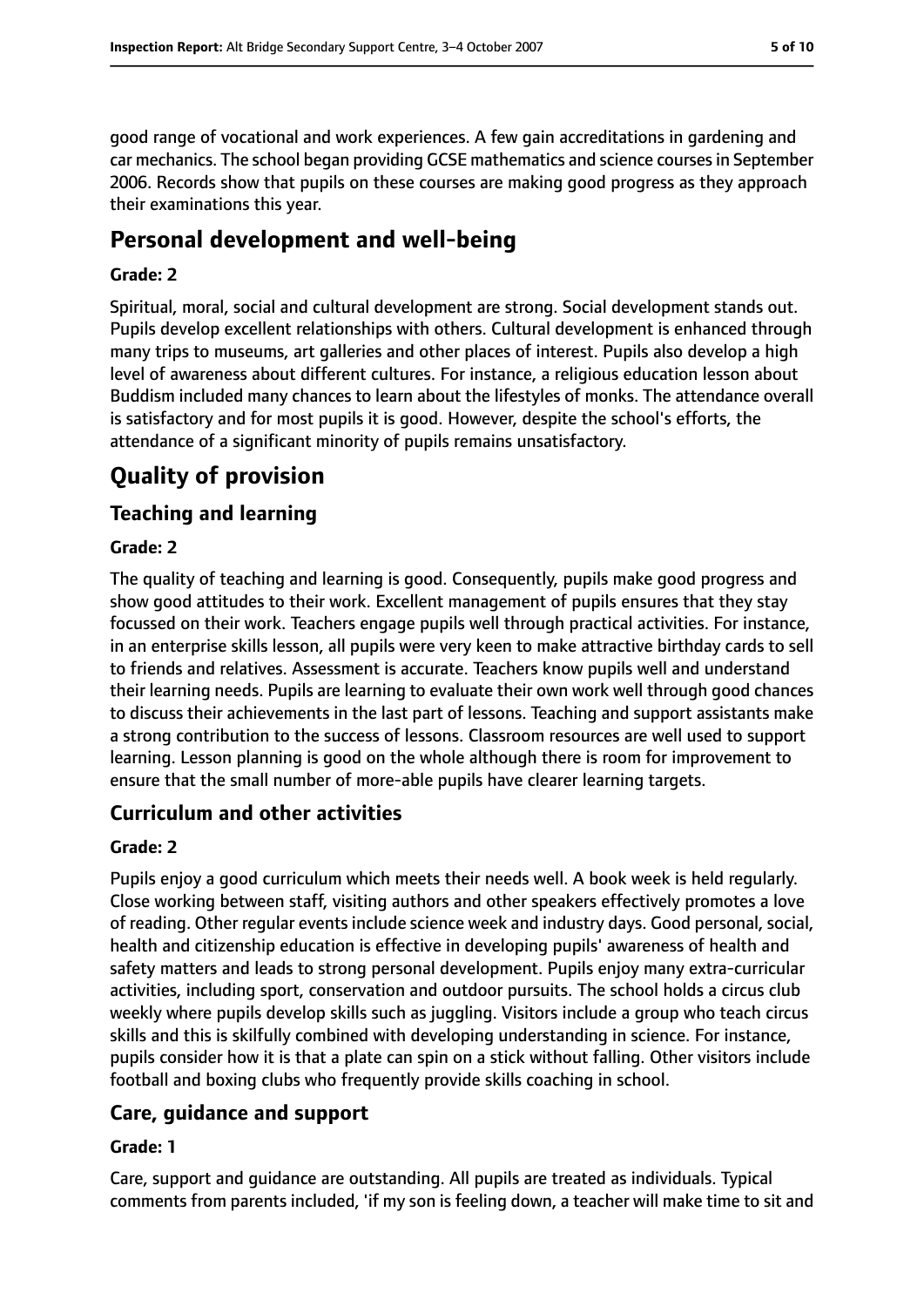good range of vocational and work experiences. A few gain accreditations in gardening and car mechanics. The school began providing GCSE mathematics and science coursesin September 2006. Records show that pupils on these courses are making good progress as they approach their examinations this year.

## **Personal development and well-being**

#### **Grade: 2**

Spiritual, moral, social and cultural development are strong. Social development stands out. Pupils develop excellent relationships with others. Cultural development is enhanced through many trips to museums, art galleries and other places of interest. Pupils also develop a high level of awareness about different cultures. For instance, a religious education lesson about Buddism included many chances to learn about the lifestyles of monks. The attendance overall is satisfactory and for most pupils it is good. However, despite the school's efforts, the attendance of a significant minority of pupils remains unsatisfactory.

# **Quality of provision**

#### **Teaching and learning**

#### **Grade: 2**

The quality of teaching and learning is good. Consequently, pupils make good progress and show good attitudes to their work. Excellent management of pupils ensures that they stay focussed on their work. Teachers engage pupils well through practical activities. For instance, in an enterprise skills lesson, all pupils were very keen to make attractive birthday cards to sell to friends and relatives. Assessment is accurate. Teachers know pupils well and understand their learning needs. Pupils are learning to evaluate their own work well through good chances to discuss their achievements in the last part of lessons. Teaching and support assistants make a strong contribution to the success of lessons. Classroom resources are well used to support learning. Lesson planning is good on the whole although there is room for improvement to ensure that the small number of more-able pupils have clearer learning targets.

#### **Curriculum and other activities**

#### **Grade: 2**

Pupils enjoy a good curriculum which meets their needs well. A book week is held regularly. Close working between staff, visiting authors and other speakers effectively promotes a love of reading. Other regular events include science week and industry days. Good personal, social, health and citizenship education is effective in developing pupils' awareness of health and safety matters and leads to strong personal development. Pupils enjoy many extra-curricular activities, including sport, conservation and outdoor pursuits. The school holds a circus club weekly where pupils develop skills such as juggling. Visitors include a group who teach circus skills and this is skilfully combined with developing understanding in science. For instance, pupils consider how it is that a plate can spin on a stick without falling. Other visitors include football and boxing clubs who frequently provide skills coaching in school.

## **Care, guidance and support**

#### **Grade: 1**

Care, support and guidance are outstanding. All pupils are treated as individuals. Typical comments from parents included, 'if my son is feeling down, a teacher will make time to sit and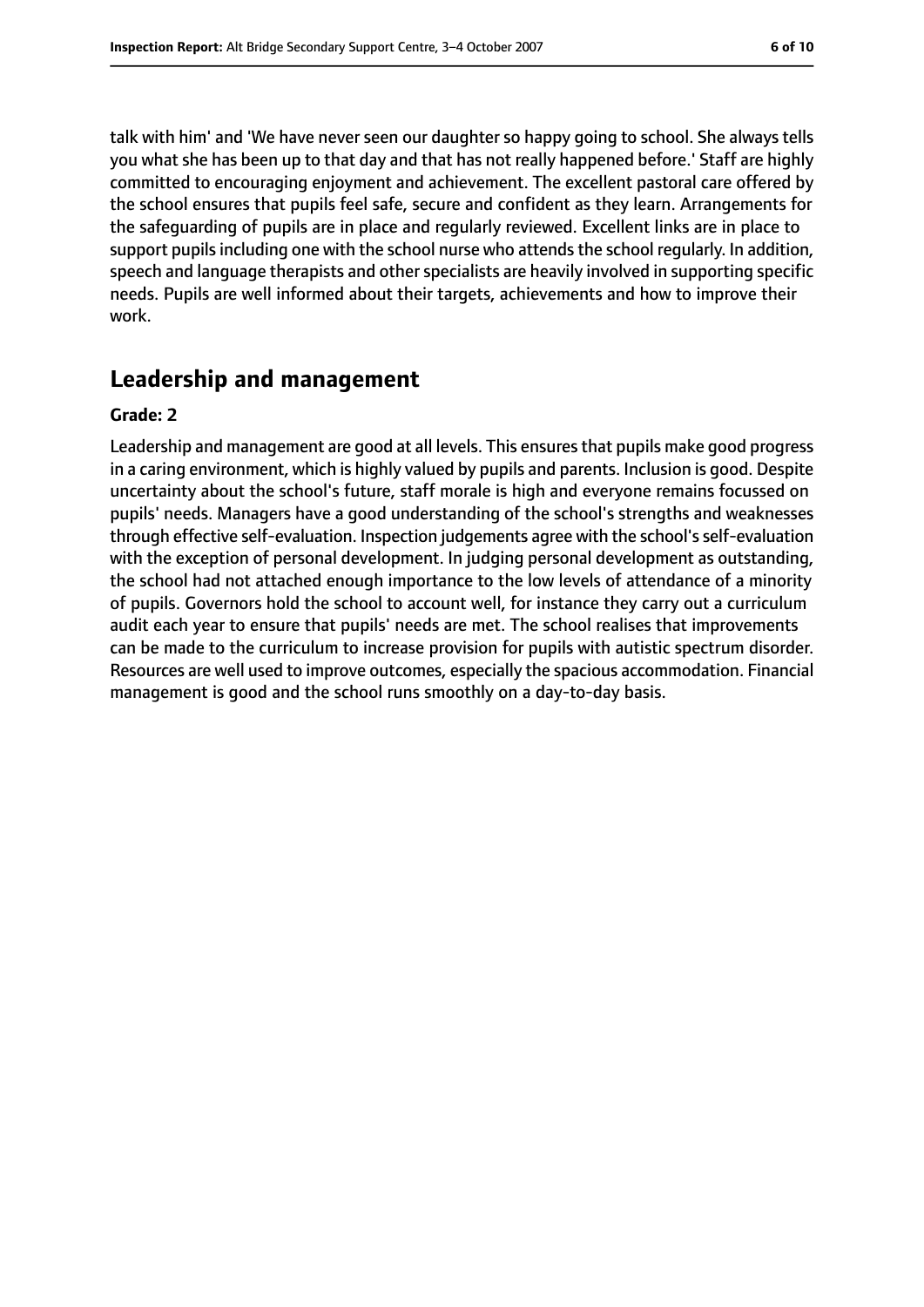talk with him' and 'We have never seen our daughter so happy going to school. She always tells you what she has been up to that day and that has not really happened before.' Staff are highly committed to encouraging enjoyment and achievement. The excellent pastoral care offered by the school ensures that pupils feel safe, secure and confident as they learn. Arrangements for the safeguarding of pupils are in place and regularly reviewed. Excellent links are in place to support pupils including one with the school nurse who attends the school regularly. In addition, speech and language therapists and other specialists are heavily involved in supporting specific needs. Pupils are well informed about their targets, achievements and how to improve their work.

## **Leadership and management**

#### **Grade: 2**

Leadership and management are good at all levels. This ensuresthat pupils make good progress in a caring environment, which is highly valued by pupils and parents. Inclusion is good. Despite uncertainty about the school's future, staff morale is high and everyone remains focussed on pupils' needs. Managers have a good understanding of the school's strengths and weaknesses through effective self-evaluation. Inspection judgements agree with the school's self-evaluation with the exception of personal development. In judging personal development as outstanding, the school had not attached enough importance to the low levels of attendance of a minority of pupils. Governors hold the school to account well, for instance they carry out a curriculum audit each year to ensure that pupils' needs are met. The school realises that improvements can be made to the curriculum to increase provision for pupils with autistic spectrum disorder. Resources are well used to improve outcomes, especially the spacious accommodation. Financial management is good and the school runs smoothly on a day-to-day basis.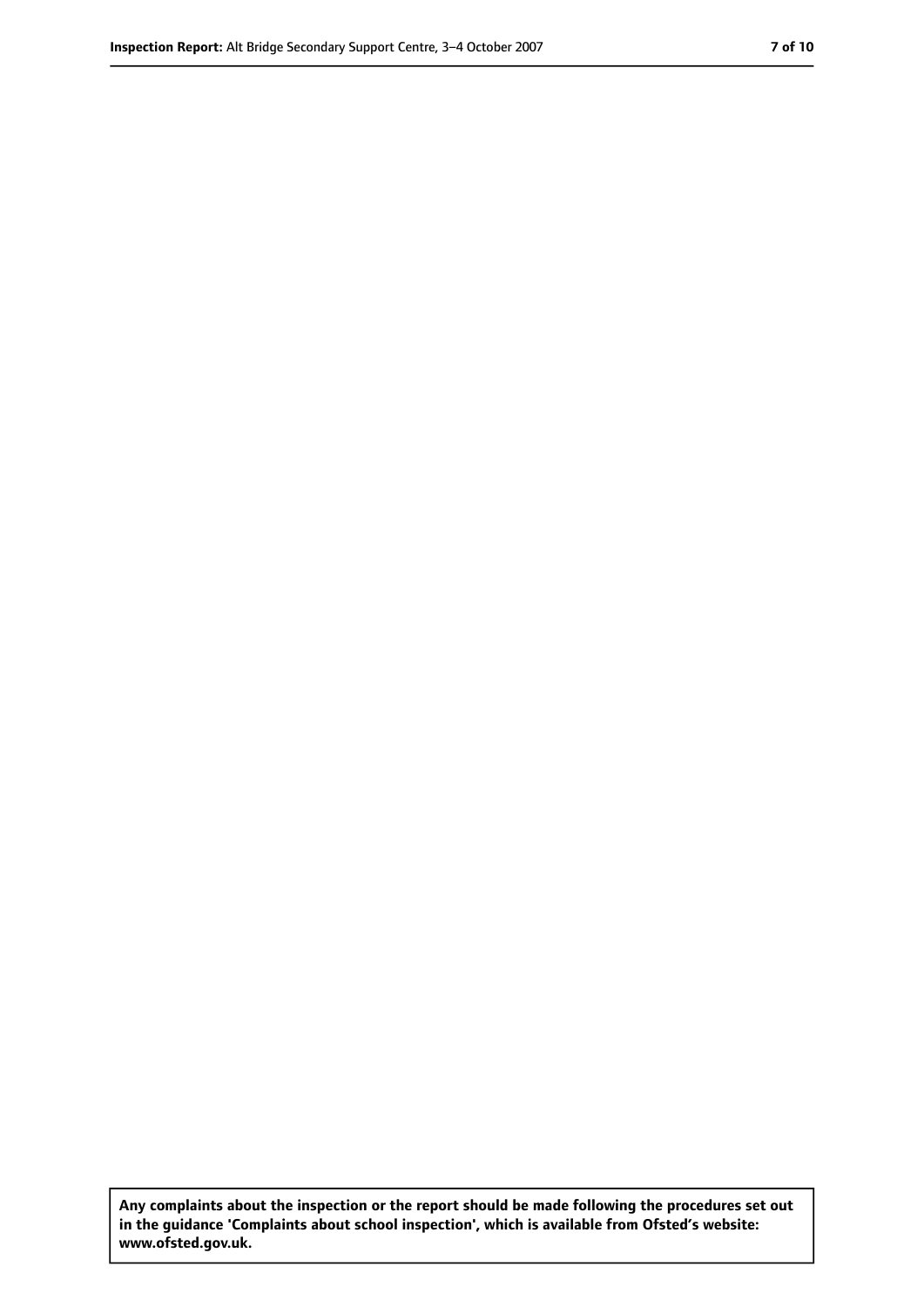**Any complaints about the inspection or the report should be made following the procedures set out in the guidance 'Complaints about school inspection', which is available from Ofsted's website: www.ofsted.gov.uk.**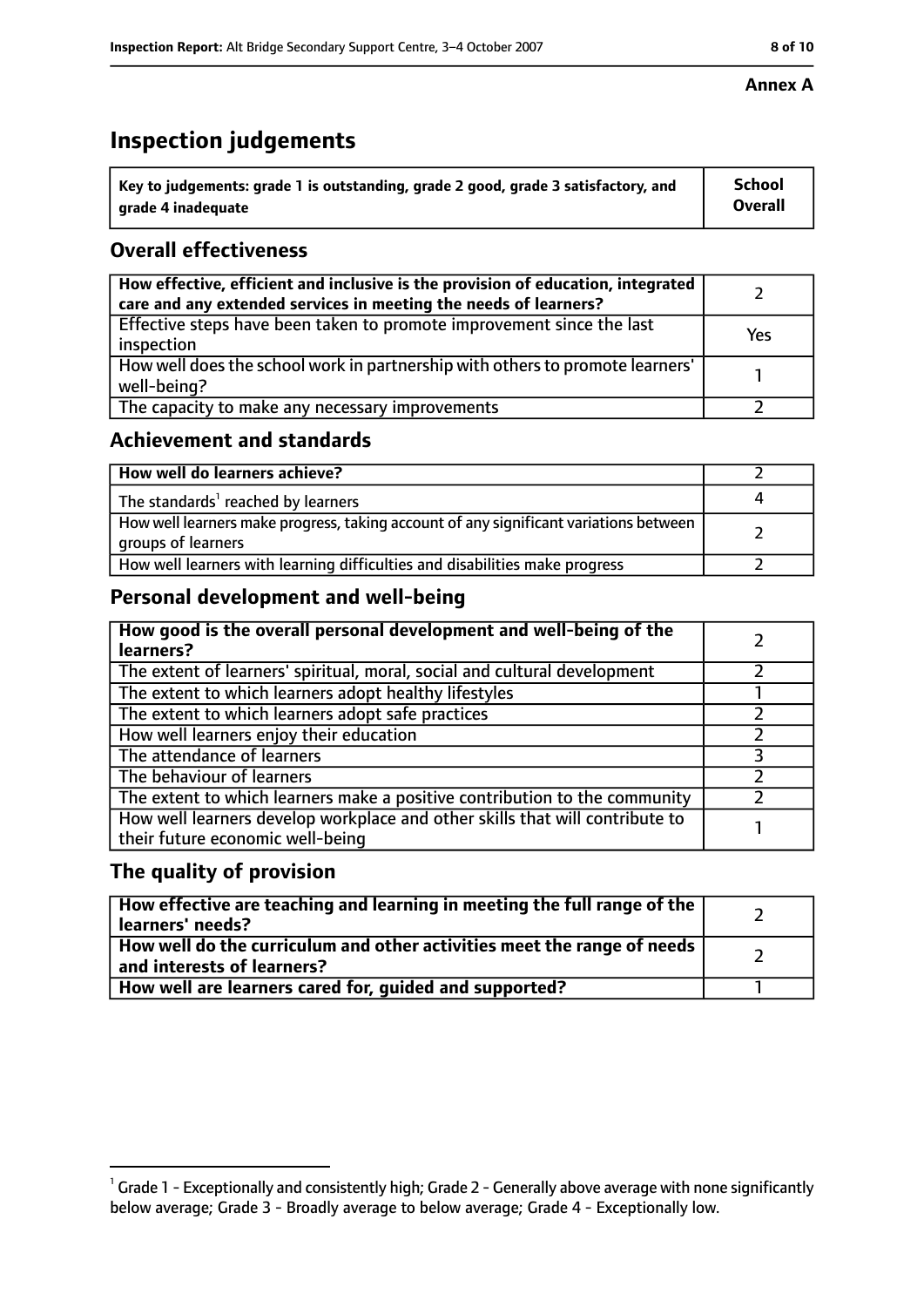# **Inspection judgements**

| $^{\backprime}$ Key to judgements: grade 1 is outstanding, grade 2 good, grade 3 satisfactory, and | <b>School</b>  |
|----------------------------------------------------------------------------------------------------|----------------|
| arade 4 inadeguate                                                                                 | <b>Overall</b> |

## **Overall effectiveness**

| How effective, efficient and inclusive is the provision of education, integrated<br>care and any extended services in meeting the needs of learners? |     |
|------------------------------------------------------------------------------------------------------------------------------------------------------|-----|
| Effective steps have been taken to promote improvement since the last<br>inspection                                                                  | Yes |
| How well does the school work in partnership with others to promote learners'<br>well-being?                                                         |     |
| The capacity to make any necessary improvements                                                                                                      |     |

## **Achievement and standards**

| How well do learners achieve?                                                                               |  |
|-------------------------------------------------------------------------------------------------------------|--|
| The standards <sup>1</sup> reached by learners                                                              |  |
| How well learners make progress, taking account of any significant variations between<br>groups of learners |  |
| How well learners with learning difficulties and disabilities make progress                                 |  |

## **Personal development and well-being**

| How good is the overall personal development and well-being of the<br>learners?                                  |  |
|------------------------------------------------------------------------------------------------------------------|--|
| The extent of learners' spiritual, moral, social and cultural development                                        |  |
| The extent to which learners adopt healthy lifestyles                                                            |  |
| The extent to which learners adopt safe practices                                                                |  |
| How well learners enjoy their education                                                                          |  |
| The attendance of learners                                                                                       |  |
| The behaviour of learners                                                                                        |  |
| The extent to which learners make a positive contribution to the community                                       |  |
| How well learners develop workplace and other skills that will contribute to<br>their future economic well-being |  |

## **The quality of provision**

| How effective are teaching and learning in meeting the full range of the<br>learners' needs?            |  |
|---------------------------------------------------------------------------------------------------------|--|
| How well do the curriculum and other activities meet the range of needs  <br>and interests of learners? |  |
| How well are learners cared for, guided and supported?                                                  |  |

 $^1$  Grade 1 - Exceptionally and consistently high; Grade 2 - Generally above average with none significantly below average; Grade 3 - Broadly average to below average; Grade 4 - Exceptionally low.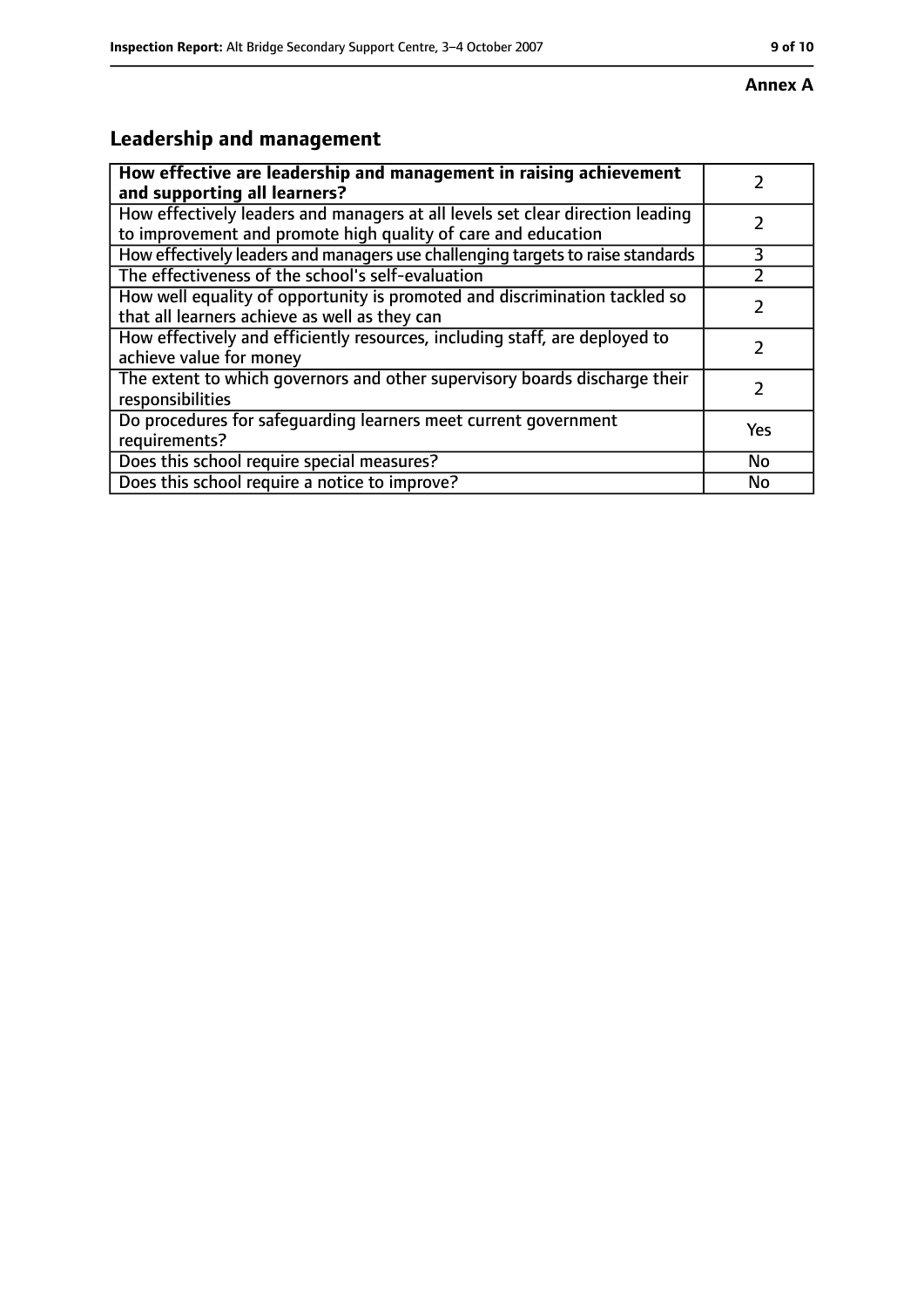# **Leadership and management**

| How effective are leadership and management in raising achievement<br>and supporting all learners?                                              |           |
|-------------------------------------------------------------------------------------------------------------------------------------------------|-----------|
| How effectively leaders and managers at all levels set clear direction leading<br>to improvement and promote high quality of care and education |           |
| How effectively leaders and managers use challenging targets to raise standards                                                                 | 3         |
| The effectiveness of the school's self-evaluation                                                                                               |           |
| How well equality of opportunity is promoted and discrimination tackled so<br>that all learners achieve as well as they can                     |           |
| How effectively and efficiently resources, including staff, are deployed to<br>achieve value for money                                          |           |
| The extent to which governors and other supervisory boards discharge their<br>responsibilities                                                  |           |
| Do procedures for safequarding learners meet current government<br>requirements?                                                                | Yes       |
| Does this school require special measures?                                                                                                      | <b>No</b> |
| Does this school require a notice to improve?                                                                                                   | No        |